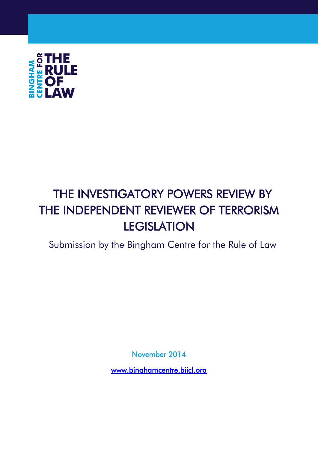

# THE INVESTIGATORY POWERS REVIEW BY THE INDEPENDENT REVIEWER OF TERRORISM **LEGISLATION**

Submission by the Bingham Centre for the Rule of Law

November 2014

[www.binghamcentre.biicl.org](http://www.binghamcentre.biicl.org/)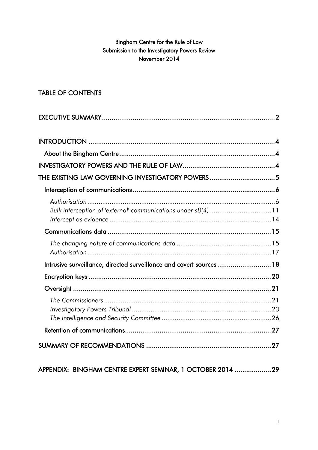# Bingham Centre for the Rule of Law Submission to the Investigatory Powers Review November 2014

# TABLE OF CONTENTS

| THE EXISTING LAW GOVERNING INVESTIGATORY POWERS5                    |  |
|---------------------------------------------------------------------|--|
|                                                                     |  |
| Bulk interception of 'external' communications under s8(4) 11       |  |
|                                                                     |  |
|                                                                     |  |
| Intrusive surveillance, directed surveillance and covert sources 18 |  |
|                                                                     |  |
|                                                                     |  |
|                                                                     |  |
|                                                                     |  |
|                                                                     |  |

# APPENDIX: BINGHAM CENTRE EXPERT SEMINAR, 1 OCTOBER 2014 ................... 29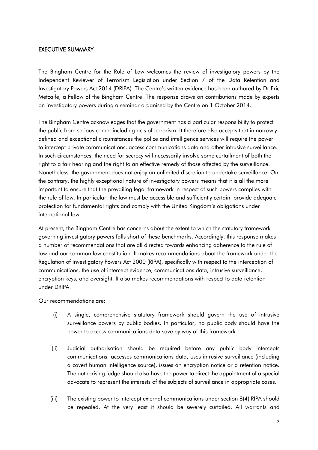#### EXECUTIVE SUMMARY

The Bingham Centre for the Rule of Law welcomes the review of investigatory powers by the Independent Reviewer of Terrorism Legislation under Section 7 of the Data Retention and Investigatory Powers Act 2014 (DRIPA). The Centre's written evidence has been authored by Dr Eric Metcalfe, a Fellow of the Bingham Centre. The response draws on contributions made by experts on investigatory powers during a seminar organised by the Centre on 1 October 2014.

The Bingham Centre acknowledges that the government has a particular responsibility to protect the public from serious crime, including acts of terrorism. It therefore also accepts that in narrowlydefined and exceptional circumstances the police and intelligence services will require the power to intercept private communications, access communications data and other intrusive surveillance. In such circumstances, the need for secrecy will necessarily involve some curtailment of both the right to a fair hearing and the right to an effective remedy of those affected by the surveillance. Nonetheless, the government does not enjoy an unlimited discretion to undertake surveillance. On the contrary, the highly exceptional nature of investigatory powers means that it is all the more important to ensure that the prevailing legal framework in respect of such powers complies with the rule of law. In particular, the law must be accessible and sufficiently certain, provide adequate protection for fundamental rights and comply with the United Kingdom's obligations under international law.

At present, the Bingham Centre has concerns about the extent to which the statutory framework governing investigatory powers falls short of these benchmarks. Accordingly, this response makes a number of recommendations that are all directed towards enhancing adherence to the rule of law and our common law constitution. It makes recommendations about the framework under the Regulation of Investigatory Powers Act 2000 (RIPA), specifically with respect to the interception of communications, the use of intercept evidence, communications data, intrusive surveillance, encryption keys, and oversight. It also makes recommendations with respect to data retention under DRIPA.

Our recommendations are:

- (i) A single, comprehensive statutory framework should govern the use of intrusive surveillance powers by public bodies. In particular, no public body should have the power to access communications data save by way of this framework.
- (ii) Judicial authorisation should be required before any public body intercepts communications, accesses communications data, uses intrusive surveillance (including a covert human intelligence source), issues an encryption notice or a retention notice. The authorising judge should also have the power to direct the appointment of a special advocate to represent the interests of the subjects of surveillance in appropriate cases.
- (iii) The existing power to intercept external communications under section 8(4) RIPA should be repealed. At the very least it should be severely curtailed. All warrants and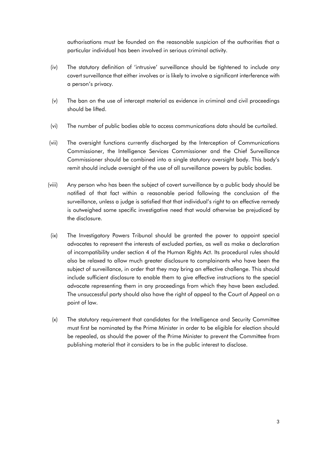authorisations must be founded on the reasonable suspicion of the authorities that a particular individual has been involved in serious criminal activity.

- (iv) The statutory definition of 'intrusive' surveillance should be tightened to include *any* covert surveillance that either involves or is likely to involve a significant interference with a person's privacy.
- (v) The ban on the use of intercept material as evidence in criminal and civil proceedings should be lifted.
- (vi) The number of public bodies able to access communications data should be curtailed.
- (vii) The oversight functions currently discharged by the Interception of Communications Commissioner, the Intelligence Services Commissioner and the Chief Surveillance Commissioner should be combined into a single statutory oversight body. This body's remit should include oversight of the use of all surveillance powers by public bodies.
- (viii) Any person who has been the subject of covert surveillance by a public body should be notified of that fact within a reasonable period following the conclusion of the surveillance, unless a judge is satisfied that that individual's right to an effective remedy is outweighed some specific investigative need that would otherwise be prejudiced by the disclosure.
- (ix) The Investigatory Powers Tribunal should be granted the power to appoint special advocates to represent the interests of excluded parties, as well as make a declaration of incompatibility under section 4 of the Human Rights Act. Its procedural rules should also be relaxed to allow much greater disclosure to complainants who have been the subject of surveillance, in order that they may bring an effective challenge. This should include sufficient disclosure to enable them to give effective instructions to the special advocate representing them in any proceedings from which they have been excluded. The unsuccessful party should also have the right of appeal to the Court of Appeal on a point of law.
- (x) The statutory requirement that candidates for the Intelligence and Security Committee must first be nominated by the Prime Minister in order to be eligible for election should be repealed, as should the power of the Prime Minister to prevent the Committee from publishing material that it considers to be in the public interest to disclose.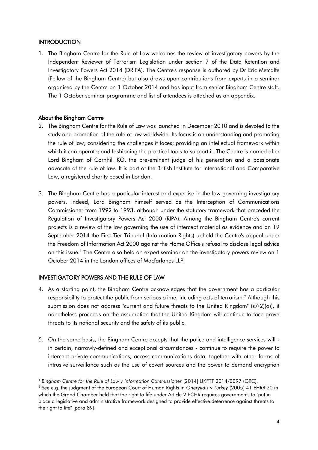# **INTRODUCTION**

1. The Bingham Centre for the Rule of Law welcomes the review of investigatory powers by the Independent Reviewer of Terrorism Legislation under section 7 of the Data Retention and Investigatory Powers Act 2014 (DRIPA). The Centre's response is authored by Dr Eric Metcalfe (Fellow of the Bingham Centre) but also draws upon contributions from experts in a seminar organised by the Centre on 1 October 2014 and has input from senior Bingham Centre staff. The 1 October seminar programme and list of attendees is attached as an appendix.

# About the Bingham Centre

- 2. The Bingham Centre for the Rule of Law was launched in December 2010 and is devoted to the study and promotion of the rule of law worldwide. Its focus is on understanding and promoting the rule of law; considering the challenges it faces; providing an intellectual framework within which it can operate; and fashioning the practical tools to support it. The Centre is named after Lord Bingham of Cornhill KG, the pre-eminent judge of his generation and a passionate advocate of the rule of law. It is part of the British Institute for International and Comparative Law, a registered charity based in London.
- 3. The Bingham Centre has a particular interest and expertise in the law governing investigatory powers. Indeed, Lord Bingham himself served as the Interception of Communications Commissioner from 1992 to 1993, although under the statutory framework that preceded the Regulation of Investigatory Powers Act 2000 (RIPA). Among the Bingham Centre's current projects is a review of the law governing the use of intercept material as evidence and on 19 September 2014 the First-Tier Tribunal (Information Rights) upheld the Centre's appeal under the Freedom of Information Act 2000 against the Home Office's refusal to disclose legal advice on this issue.<sup>1</sup> The Centre also held an expert seminar on the investigatory powers review on 1 October 2014 in the London offices of Macfarlanes LLP.

# INVESTIGATORY POWERS AND THE RULE OF LAW

1

- 4. As a starting point, the Bingham Centre acknowledges that the government has a particular responsibility to protect the public from serious crime, including acts of terrorism.<sup>2</sup> Although this submission does not address "current and future threats to the United Kingdom" (s7(2)(a)), it nonetheless proceeds on the assumption that the United Kingdom will continue to face grave threats to its national security and the safety of its public.
- 5. On the same basis, the Bingham Centre accepts that the police and intelligence services will in certain, narrowly-defined and exceptional circumstances - continue to require the power to intercept private communications, access communications data, together with other forms of intrusive surveillance such as the use of covert sources and the power to demand encryption

<sup>&</sup>lt;sup>1</sup> Bingham Centre for the Rule of Law v Information Commissioner [2014] UKFTT 2014/0097 (GRC).

<sup>2</sup> See e.g. the judgment of the European Court of Human Rights in *Öneryildiz v Turkey* (2005) 41 EHRR 20 in which the Grand Chamber held that the right to life under Article 2 ECHR requires governments to "put in place a legislative and administrative framework designed to provide effective deterrence against threats to the right to life" (para 89).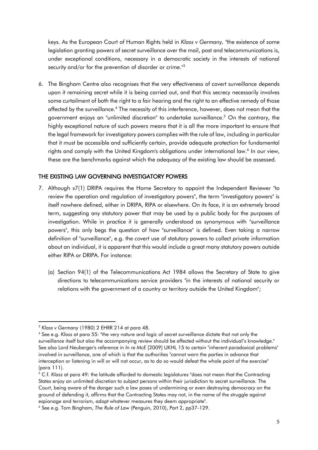keys. As the European Court of Human Rights held in *Klass v Germany,* "the existence of some legislation granting powers of secret surveillance over the mail, post and telecommunications is, under exceptional conditions, necessary in a democratic society in the interests of national security and/or for the prevention of disorder or crime."<sup>3</sup>

6. The Bingham Centre also recognises that the very effectiveness of covert surveillance depends upon it remaining secret while it is being carried out, and that this secrecy necessarily involves some curtailment of both the right to a fair hearing and the right to an effective remedy of those affected by the surveillance.<sup>4</sup> The necessity of this interference, however, does not mean that the government enjoys an "unlimited discretion" to undertake surveillance. <sup>5</sup> On the contrary, the highly exceptional nature of such powers means that it is all the more important to ensure that the legal framework for investigatory powers complies with the rule of law, including in particular that it must be accessible and sufficiently certain, provide adequate protection for fundamental rights and comply with the United Kingdom's obligations under international law.<sup>6</sup> In our view, these are the benchmarks against which the adequacy of the existing law should be assessed.

# THE EXISTING LAW GOVERNING INVESTIGATORY POWERS

- 7. Although s7(1) DRIPA requires the Home Secretary to appoint the Independent Reviewer "to review the operation and regulation of investigatory powers", the term "investigatory powers" is itself nowhere defined, either in DRIPA, RIPA or elsewhere. On its face, it is an extremely broad term, suggesting any statutory power that may be used by a public body for the purposes of investigation. While in practice it is generally understood as synonymous with "surveillance powers", this only begs the question of how "surveillance" is defined. Even taking a narrow definition of "surveillance", e.g. the *covert* use of statutory powers to collect *private* information about an individual, it is apparent that this would include a great many statutory powers outside either RIPA or DRIPA. For instance:
	- (a) Section 94(1) of the Telecommunications Act 1984 allows the Secretary of State to give directions to telecommunications service providers "in the interests of national security or relations with the government of a country or territory outside the United Kingdom";

**<sup>.</sup>** <sup>3</sup> *Klass v Germany* (1980) 2 EHRR 214 at para 48.

<sup>4</sup> See e.g. *Klass* at para 55: "the very nature and logic of secret surveillance dictate that not only the surveillance itself but also the accompanying review should be effected without the individual's knowledge." See also Lord Neuberger's reference in *In re McE* [2009] UKHL 15 to certain "inherent paradoxical problems" involved in surveillance, one of which is that the authorities "cannot warn the parties in advance that interception or listening in will or will not occur, as to do so would defeat the whole point of the exercise" (para 111).

<sup>5</sup> C.f. *Klass* at para 49: the latitude afforded to domestic legislatures "does not mean that the Contracting States enjoy an unlimited discretion to subject persons within their jurisdiction to secret surveillance. The Court, being aware of the danger such a law poses of undermining or even destroying democracy on the ground of defending it, affirms that the Contracting States may not, in the name of the struggle against espionage and terrorism, adopt whatever measures they deem appropriate".

<sup>6</sup> See e.g. Tom Bingham, *The Rule of Law* (Penguin, 2010), Part 2, pp37-129.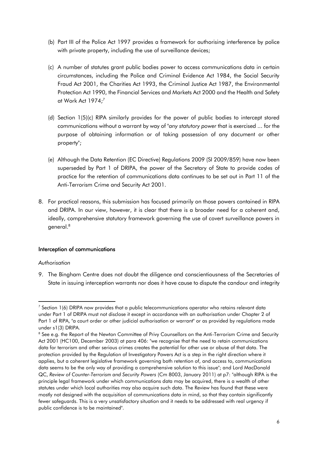- (b) Part III of the Police Act 1997 provides a framework for authorising interference by police with private property, including the use of surveillance devices;
- (c) A number of statutes grant public bodies power to access communications data in certain circumstances, including the Police and Criminal Evidence Act 1984, the Social Security Fraud Act 2001, the Charities Act 1993, the Criminal Justice Act 1987, the Environmental Protection Act 1990, the Financial Services and Markets Act 2000 and the Health and Safety at Work Act 1974; 7
- (d) Section 1(5)(c) RIPA similarly provides for the power of public bodies to intercept stored communications without a warrant by way of "*any statutory power* that is exercised ... for the purpose of obtaining information or of taking possession of any document or other property";
- (e) Although the Data Retention (EC Directive) Regulations 2009 (SI 2009/859) have now been superseded by Part 1 of DRIPA, the power of the Secretary of State to provide codes of practice for the retention of communications data continues to be set out in Part 11 of the Anti-Terrorism Crime and Security Act 2001.
- 8. For practical reasons, this submission has focused primarily on those powers contained in RIPA and DRIPA. In our view, however, it is clear that there is a broader need for a coherent and, ideally, comprehensive statutory framework governing the use of covert surveillance powers in general.<sup>8</sup>

# Interception of communications

#### *Authorisation*

**.** 

9. The Bingham Centre does not doubt the diligence and conscientiousness of the Secretaries of State in issuing interception warrants nor does it have cause to dispute the candour and integrity

 $7$  Section 1(6) DRIPA now provides that a public telecommunications operator who retains relevant data under Part 1 of DRIPA must not disclose it except in accordance with an authorisation under Chapter 2 of Part 1 of RIPA, "a court order or other judicial authorisation or warrant" or as provided by regulations made under s1(3) DRIPA.

<sup>&</sup>lt;sup>8</sup> See e.g. the Report of the Newton Committee of Privy Counsellors on the Anti-Terrorism Crime and Security Act 2001 (HC100, December 2003) at para 406: "we recognise that the need to retain communications data for terrorism and other serious crimes creates the potential for other use or abuse of that data. The protection provided by the Regulation of Investigatory Powers Act is a step in the right direction where it applies, but a coherent legislative framework governing both retention of, and access to, communications data seems to be the only way of providing a comprehensive solution to this issue"; and Lord MacDonald QC, *Review of Counter-Terrorism and Security Powers* (Cm 8003, January 2011) at p7: "although RIPA is the principle legal framework under which communications data may be acquired, there is a wealth of other statutes under which local authorities may also acquire such data. The Review has found that these were mostly not designed with the acquisition of communications data in mind, so that they contain significantly fewer safeguards. This is a very unsatisfactory situation and it needs to be addressed with real urgency if public confidence is to be maintained".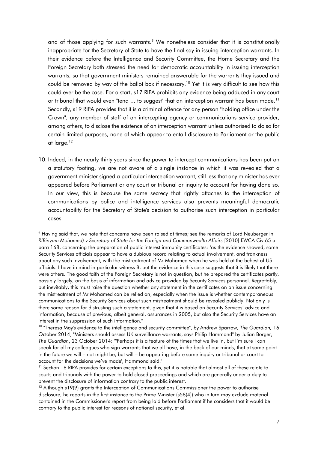and of those applying for such warrants.<sup>9</sup> We nonetheless consider that it is constitutionally inappropriate for the Secretary of State to have the final say in issuing interception warrants. In their evidence before the Intelligence and Security Committee, the Home Secretary and the Foreign Secretary both stressed the need for democratic accountability in issuing interception warrants, so that government ministers remained answerable for the warrants they issued and could be removed by way of the ballot box if necessary.<sup>10</sup> Yet it is very difficult to see how this could ever be the case. For a start, s17 RIPA prohibits any evidence being adduced in any court or tribunal that would even "tend ... to suggest" that an interception warrant has been made.<sup>11</sup> Secondly, s19 RIPA provides that it is a criminal offence for any person "holding office under the Crown", any member of staff of an intercepting agency or communications service provider, among others, to disclose the existence of an interception warrant unless authorised to do so for certain limited purposes, none of which appear to entail disclosure to Parliament or the public at large.<sup>12</sup>

10. Indeed, in the nearly thirty years since the power to intercept communications has been put on a statutory footing, we are not aware of a single instance in which it was revealed that a government minister signed a particular interception warrant, still less that any minister has ever appeared before Parliament or any court or tribunal or inquiry to account for having done so. In our view, this is because the same secrecy that rightly attaches to the interception of communications by police and intelligence services also prevents meaningful democratic accountability for the Secretary of State's decision to authorise such interception in particular cases.

<sup>9</sup> Having said that, we note that concerns have been raised at times; see the remarks of Lord Neuberger in *R(Binyam Mohamed) v Secretary of State for the Foreign and Commonwealth Affairs* [2010] EWCA Civ 65 at para 168, concerning the preparation of public interest immunity certificates: "as the evidence showed, some Security Services officials appear to have a dubious record relating to actual involvement, and frankness about any such involvement, with the mistreatment of Mr Mohamed when he was held at the behest of US officials. I have in mind in particular witness B, but the evidence in this case suggests that it is likely that there were others. The good faith of the Foreign Secretary is not in question, but he prepared the certificates partly, possibly largely, on the basis of information and advice provided by Security Services personnel. Regrettably, but inevitably, this must raise the question whether any statement in the certificates on an issue concerning the mistreatment of Mr Mohamed can be relied on, especially when the issue is whether contemporaneous communications to the Security Services about such mistreatment should be revealed publicly. Not only is there some reason for distrusting such a statement, given that it is based on Security Services' advice and information, because of previous, albeit general, assurances in 2005, but also the Security Services have an interest in the suppression of such information."

<sup>10</sup> "Theresa May's evidence to the intelligence and security committee", by Andrew Sparrow, *The Guardian,* 16 October 2014; "Ministers should assess UK surveillance warrants, says Philip Hammond" by Julian Borger, *The Guardian*, 23 October 2014: "'Perhaps it is a feature of the times that we live in, but I'm sure I can speak for all my colleagues who sign warrants that we all have, in the back of our minds, that at some point in the future we will – not might be, but will – be appearing before some inquiry or tribunal or court to account for the decisions we've made', Hammond said."

<sup>&</sup>lt;sup>11</sup> Section 18 RIPA provides for certain exceptions to this, yet it is notable that almost all of these relate to courts and tribunals with the power to hold closed proceedings and which are generally under a duty to prevent the disclosure of information contrary to the public interest.

 $12$  Although s19(9) grants the Interception of Communications Commissioner the power to authorise disclosure, he reports in the first instance to the Prime Minister (s58(4)) who in turn may exclude material contained in the Commissioner's report from being laid before Parliament if he considers that it would be contrary to the public interest for reasons of national security, et al.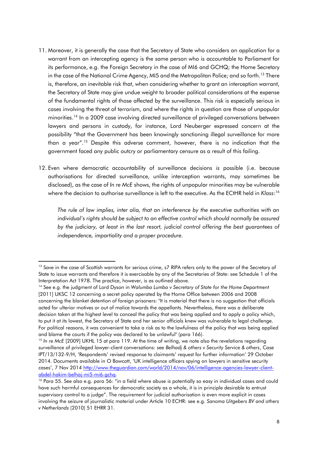- 11. Moreover, it is generally the case that the Secretary of State who considers an application for a warrant from an intercepting agency is the same person who is accountable to Parliament for its performance, e.g. the Foreign Secretary in the case of MI6 and GCHQ; the Home Secretary in the case of the National Crime Agency, MI5 and the Metropolitan Police; and so forth.<sup>13</sup> There is, therefore, an inevitable risk that, when considering whether to grant an interception warrant, the Secretary of State may give undue weight to broader political considerations at the expense of the fundamental rights of those affected by the surveillance. This risk is especially serious in cases involving the threat of terrorism, and where the rights in question are those of unpopular minorities.<sup>14</sup> In a 2009 case involving directed surveillance of privileged conversations between lawyers and persons in custody, for instance, Lord Neuberger expressed concern at the possibility "that the Government has been knowingly sanctioning illegal surveillance for more than a year".<sup>15</sup> Despite this adverse comment, however, there is no indication that the government faced any public outcry or parliamentary censure as a result of this failing.
- 12. Even where democratic accountability of surveillance decisions *is* possible (i.e. because authorisations for directed surveillance, unlike interception warrants, may sometimes be disclosed), as the case of *In re McE* shows, the rights of unpopular minorities may be vulnerable where the decision to authorise surveillance is left to the executive. As the ECtHR held in *Klass*: 16

*The rule of law implies, inter alia, that an interference by the executive authorities with an individual's rights should be subject to an effective control which should normally be assured by the judiciary, at least in the last resort, judicial control offering the best guarantees of independence, impartiality and a proper procedure.* 

<sup>&</sup>lt;sup>13</sup> Save in the case of Scottish warrants for serious crime, s7 RIPA refers only to the power of the Secretary of State to issue warrants and therefore it is exercisable by any of the Secretaries of State: see Schedule 1 of the Interpretation Act 1978. The practice, however, is as outlined above.

<sup>14</sup> See e.g. the judgment of Lord Dyson in *Walumba Lumba v Secretary of State for the Home Department*  [2011] UKSC 12 concerning a secret policy operated by the Home Office between 2006 and 2008 concerning the blanket detention of foreign prisoners: "It is material that there is no suggestion that officials acted for ulterior motives or out of malice towards the appellants. Nevertheless, there was a deliberate decision taken at the highest level to conceal the policy that was being applied and to apply a policy which, to put it at its lowest, the Secretary of State and her senior officials knew was vulnerable to legal challenge. For political reasons, it was convenient to take a risk as to the lawfulness of the policy that was being applied and blame the courts if the policy was declared to be unlawful" (para 166).

<sup>&</sup>lt;sup>15</sup> In re McE [2009] UKHL 15 at para 119. At the time of writing, we note also the revelations regarding surveillance of privileged lawyer-client conversations: see *Belhadj & others v Security Service & others*, Case IPT/13/132-9/H, 'Respondents' revised response to claimants' request for further information' 29 October 2014. Documents available in O Bowcott, 'UK intelligence officers spying on lawyers in sensitive security cases', 7 Nov 2014 [http://www.theguardian.com/world/2014/nov/06/intelligence-agencies-lawyer-client](http://www.theguardian.com/world/2014/nov/06/intelligence-agencies-lawyer-client-abdel-hakim-belhaj-mi5-mi6-gchq)[abdel-hakim-belhaj-mi5-mi6-gchq.](http://www.theguardian.com/world/2014/nov/06/intelligence-agencies-lawyer-client-abdel-hakim-belhaj-mi5-mi6-gchq)

<sup>&</sup>lt;sup>16</sup> Para 55. See also e.g. para 56: "in a field where abuse is potentially so easy in individual cases and could have such harmful consequences for democratic society as a whole, it is in principle desirable to entrust supervisory control to a judge". The requirement for judicial authorisation is even more explicit in cases involving the seizure of journalistic material under Article 10 ECHR: see e.g. *Sanoma Uitgebers BV and others v Netherlands* (2010) 51 EHRR 31.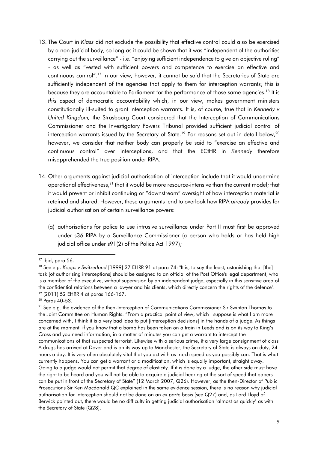- 13. The Court in *Klass* did not exclude the possibility that effective control could also be exercised by a non-judicial body, so long as it could be shown that it was "independent of the authorities carrying out the surveillance" - i.e. "enjoying sufficient independence to give an objective ruling" - as well as "vested with sufficient powers and competence to exercise an effective and continuous control".<sup>17</sup> In our view, however, it cannot be said that the Secretaries of State are sufficiently independent of the agencies that apply to them for interception warrants; this is because they are accountable to Parliament for the performance of those same agencies.<sup>18</sup> It is *this* aspect of democratic accountability which, in our view, makes government ministers constitutionally ill-suited to grant interception warrants. It is, of course, true that in *Kennedy v United Kingdom,* the Strasbourg Court considered that the Interception of Communications Commissioner and the Investigatory Powers Tribunal provided sufficient judicial control of interception warrants issued by the Secretary of State.<sup>19</sup> For reasons set out in detail below.<sup>20</sup> however, we consider that neither body can properly be said to "exercise an effective and continuous control" over interceptions, and that the ECtHR in *Kennedy* therefore misapprehended the true position under RIPA.
- 14. Other arguments against judicial authorisation of interception include that it would undermine operational effectiveness,<sup>21</sup> that it would be more resource-intensive than the current model; that it would prevent or inhibit continuing or "downstream" oversight of how interception material is retained and shared. However, these arguments tend to overlook how RIPA *already* provides for judicial authorisation of certain surveillance powers:
	- (a) authorisations for police to use intrusive surveillance under Part II must first be approved under s36 RIPA by a Surveillance Commissioner (a person who holds or has held high judicial office under s91(2) of the Police Act 1997);

**<sup>.</sup>** <sup>17</sup> Ibid, para 56.

<sup>&</sup>lt;sup>18</sup> See e.g. *Kopps v Switzerland* [1999] 27 EHRR 91 at para 74: "It is, to say the least, astonishing that [the] task [of authorising interceptions] should be assigned to an official of the Post Office's legal department, who is a member of the executive, without supervision by an independent judge, especially in this sensitive area of the confidential relations between a lawyer and his clients, which directly concern the rights of the defence". <sup>19</sup> (2011) 52 EHRR 4 at paras 166-167.

<sup>20</sup> Paras 40-53.

 $21$  See e.g. the evidence of the then-Interception of Communications Commissioner Sir Swinton Thomas to the Joint Committee on Human Rights: "From a practical point of view, which I suppose is what I am more concerned with, I think it is a very bad idea to put [interception decisions] in the hands of a judge. As things are at the moment, if you know that a bomb has been taken on a train in Leeds and is on its way to King's Cross and you need information, in a matter of minutes you can get a warrant to intercept the communications of that suspected terrorist. Likewise with a serious crime, if a very large consignment of class A drugs has arrived at Dover and is on its way up to Manchester, the Secretary of State is always on duty, 24 hours a day. It is very often absolutely vital that you act with as much speed as you possibly can. That is what currently happens. You can get a warrant or a modification, which is equally important, straight away. Going to a judge would not permit that degree of elasticity. If it is done by a judge, the other side must have the right to be heard and you will not be able to acquire a judicial hearing at the sort of speed that papers can be put in front of the Secretary of State" (12 March 2007, Q26). However, as the then-Director of Public Prosecutions Sir Ken Macdonald QC explained in the same evidence session, there is no reason why judicial authorisation for interception should not be done on an *ex parte* basis (see Q27) and, as Lord Lloyd of Berwick pointed out, there would be no difficulty in getting judicial authorisation "almost as quickly" as with the Secretary of State (Q28).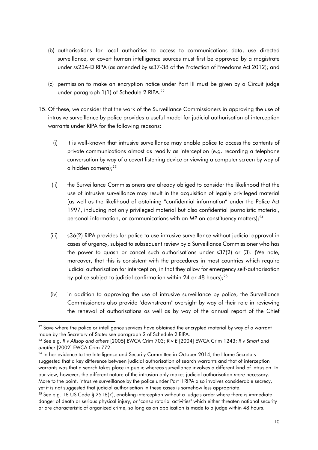- (b) authorisations for local authorities to access to communications data, use directed surveillance, or covert human intelligence sources must first be approved by a magistrate under ss23A-D RIPA (as amended by ss37-38 of the Protection of Freedoms Act 2012); and
- (c) permission to make an encryption notice under Part III must be given by a Circuit judge under paragraph 1(1) of Schedule 2 RIPA.<sup>22</sup>
- 15. Of these, we consider that the work of the Surveillance Commissioners in approving the use of intrusive surveillance by police provides a useful model for judicial authorisation of interception warrants under RIPA for the following reasons:
	- (i) it is well-known that intrusive surveillance may enable police to access the contents of private communications almost as readily as interception (e.g. recording a telephone conversation by way of a covert listening device or viewing a computer screen by way of a hidden camera);<sup>23</sup>
	- (ii) the Surveillance Commissioners are already obliged to consider the likelihood that the use of intrusive surveillance may result in the acquisition of legally privileged material (as well as the likelihood of obtaining "confidential information" under the Police Act 1997, including not only privileged material but also confidential journalistic material, personal information, or communications with an MP on constituency matters);<sup>24</sup>
	- (iii) s36(2) RIPA provides for police to use intrusive surveillance without judicial approval in cases of urgency, subject to subsequent review by a Surveillance Commissioner who has the power to quash or cancel such authorisations under s37(2) or (3). (We note, moreover, that this is consistent with the procedures in most countries which require judicial authorisation for interception, in that they allow for emergency self-authorisation by police subject to judicial confirmation within 24 or 48 hours);<sup>25</sup>
	- (iv) in addition to approving the use of intrusive surveillance by police, the Surveillance Commissioners also provide "downstream" oversight by way of their role in reviewing the renewal of authorisations as well as by way of the annual report of the Chief

**<sup>.</sup>** <sup>22</sup> Save where the police or intelligence services have obtained the encrypted material by way of a warrant made by the Secretary of State: see paragraph 2 of Schedule 2 RIPA.

<sup>23</sup> See e.g. *R v Allsop and others* [2005] EWCA Crim 703; *R v E* [2004] EWCA Crim 1243; *R v Smart and another* [2002] EWCA Crim 772.

 $24$  In her evidence to the Intelligence and Security Committee in October 2014, the Home Secretary suggested that a key difference between judicial authorisation of search warrants and that of interception warrants was that a search takes place in public whereas surveillance involves a different kind of intrusion. In our view, however, the different nature of the intrusion only makes judicial authorisation *more* necessary. More to the point, intrusive surveillance by the police under Part II RIPA also involves considerable secrecy, yet it is not suggested that judicial authorisation in these cases is somehow less appropriate.

<sup>&</sup>lt;sup>25</sup> See e.g. 18 US Code § 2518(7), enabling interception without a judge's order where there is immediate danger of death or serious physical injury, or "conspiratorial activities" which either threaten national security or are characteristic of organized crime, so long as an application is made to a judge within 48 hours.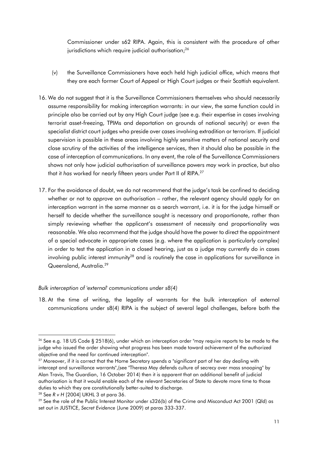Commissioner under s62 RIPA. Again, this is consistent with the procedure of other jurisdictions which require judicial authorisation;<sup>26</sup>

- (v) the Surveillance Commissioners have each held high judicial office, which means that they are each former Court of Appeal or High Court judges or their Scottish equivalent.
- 16. We do not suggest that it is the Surveillance Commissioners themselves who should necessarily assume responsibility for making interception warrants: in our view, the same function could in principle also be carried out by any High Court judge (see e.g. their expertise in cases involving terrorist asset-freezing, TPIMs and deportation on grounds of national security) or even the specialist district court judges who preside over cases involving extradition or terrorism. If judicial supervision is possible in these areas involving highly sensitive matters of national security and close scrutiny of the activities of the intelligence services, then it should also be possible in the case of interception of communications. In any event, the role of the Surveillance Commissioners shows not only how judicial authorisation of surveillance powers *may* work in practice, but also that it *has* worked for nearly fifteen years under Part II of RIPA.<sup>27</sup>
- 17. For the avoidance of doubt, we do not recommend that the judge's task be confined to deciding whether or not to *approve* an authorisation – rather, the relevant agency should apply for an interception warrant in the same manner as a search warrant, i.e. it is for the judge himself or herself to decide whether the surveillance sought is necessary and proportionate, rather than simply reviewing whether the applicant's assessment of necessity and proportionality was reasonable. We also recommend that the judge should have the power to direct the appointment of a special advocate in appropriate cases (e.g. where the application is particularly complex) in order to test the application in a closed hearing, just as a judge may currently do in cases involving public interest immunity<sup>28</sup> and is routinely the case in applications for surveillance in Queensland, Australia. 29

# *Bulk interception of 'external' communications under s8(4)*

18. At the time of writing, the legality of warrants for the bulk interception of external communications under s8(4) RIPA is the subject of several legal challenges, before both the

<sup>&</sup>lt;sup>26</sup> See e.g. 18 US Code § 2518(6), under which an interception order "may require reports to be made to the judge who issued the order showing what progress has been made toward achievement of the authorized objective and the need for continued interception".

<sup>&</sup>lt;sup>27</sup> Moreover, if it is correct that the Home Secretary spends a "significant part of her day dealing with intercept and surveillance warrants",(see "Theresa May defends culture of secrecy over mass snooping" by Alan Travis, The Guardian, 16 October 2014) then it is apparent that an additional benefit of judicial authorisation is that it would enable each of the relevant Secretaries of State to devote more time to those duties to which they are constitutionally better-suited to discharge.

<sup>28</sup> See *R v H* [2004] UKHL 3 at para 36.

 $^{29}$  See the role of the Public Interest Monitor under s326(b) of the Crime and Misconduct Act 2001 (Qld) as set out in JUSTICE, *Secret Evidence* (June 2009) at paras 333-337.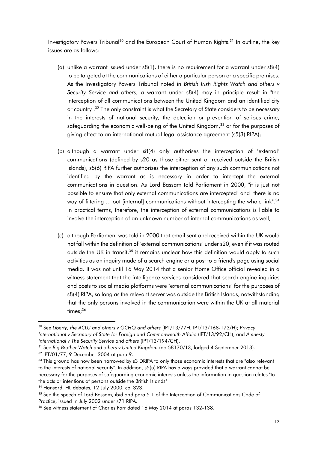Investigatory Powers Tribunal<sup>30</sup> and the European Court of Human Rights.<sup>31</sup> In outline, the key issues are as follows:

- (a) unlike a warrant issued under  $s8(1)$ , there is no requirement for a warrant under  $s8(4)$ to be targeted at the communications of either a particular person or a specific premises. As the Investigatory Powers Tribunal noted in *British Irish Rights Watch and others v Security Service and others*, a warrant under s8(4) may in principle result in "the interception of all communications between the United Kingdom and an identified city or country".<sup>32</sup> The only constraint is what the Secretary of State considers to be necessary in the interests of national security, the detection or prevention of serious crime, safeguarding the economic well-being of the United Kingdom,<sup>33</sup> or for the purposes of giving effect to an international mutual legal assistance agreement (s5(3) RIPA);
- (b) although a warrant under s8(4) only authorises the interception of "external" communications (defined by s20 as those either sent or received outside the British Islands), s5(6) RIPA further authorises the interception of any such communications not identified by the warrant as is necessary in order to intercept the external communications in question. As Lord Bassam told Parliament in 2000, "it is just not possible to ensure that only external communications are intercepted" and "there is no way of filtering ... out [internal] communications without intercepting the whole link". 34 In practical terms, therefore, the interception of external communications is liable to involve the interception of an unknown number of internal communications as well;
- (c) although Parliament was told in 2000 that email sent and received within the UK would not fall within the definition of "external communications" under s20, even if it was routed outside the UK in transit,<sup>35</sup> it remains unclear how this definition would apply to such activities as an inquiry made of a search engine or a post to a friend's page using social media. It was not until 16 May 2014 that a senior Home Office official revealed in a witness statement that the intelligence services considered that search engine inquiries and posts to social media platforms were "external communications" for the purposes of s8(4) RIPA, so long as the relevant server was outside the British Islands, notwithstanding that the only persons involved in the communication were within the UK at all material times;<sup>36</sup>

**<sup>.</sup>** <sup>30</sup> See *Liberty, the ACLU and others v GCHQ and others* (IPT/13/77H, IPT/13/168-173/H); *Privacy International v Secretary of State for Foreign and Commonwealth Affairs* (IPT/13/92/CH); and *Amnesty International v The Security Service and others* (IPT/13/194/CH).

<sup>31</sup> See *Big Brother Watch and others v United Kingdom* (no 58170/13, lodged 4 September 2013).

<sup>32</sup> IPT/01/77, 9 December 2004 at para 9.

<sup>&</sup>lt;sup>33</sup> This ground has now been narrowed by s3 DRIPA to only those economic interests that are "also relevant to the interests of national security". In addition, s5(5) RIPA has always provided that a warrant cannot be necessary for the purposes of safeguarding economic interests unless the information in question relates "to the acts or intentions of persons outside the British Islands"

<sup>34</sup> Hansard, HL debates, 12 July 2000, col 323.

<sup>&</sup>lt;sup>35</sup> See the speech of Lord Bassam, ibid and para 5.1 of the Interception of Communications Code of Practice, issued in July 2002 under s71 RIPA.

<sup>36</sup> See witness statement of Charles Farr dated 16 May 2014 at paras 132-138.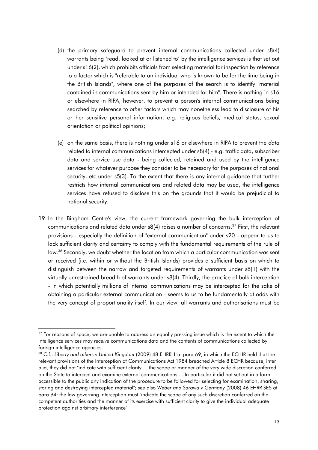- (d) the primary safeguard to prevent internal communications collected under s8(4) warrants being "read, looked at or listened to" by the intelligence services is that set out under s16(2), which prohibits officials from selecting material for inspection by reference to a factor which is "referable to an individual who is known to be for the time being in the British Islands", where one of the purposes of the search is to identify "material contained in communications sent by him or intended for him". There is nothing in s16 or elsewhere in RIPA, however, to prevent a person's internal communications being searched by reference to *other* factors which may nonetheless lead to disclosure of his or her sensitive personal information, e.g. religious beliefs, medical status, sexual orientation or political opinions;
- (e) on the same basis, there is nothing under s16 or elsewhere in RIPA to prevent the *data* related to internal communications intercepted under s8(4) - e.g. traffic data, subscriber data and service use data - being collected, retained and used by the intelligence services for whatever purpose they consider to be necessary for the purposes of national security, etc under s5(3). To the extent that there is any internal guidance that further restricts how internal communications and related data may be used, the intelligence services have refused to disclose this on the grounds that it would be prejudicial to national security.
- 19. In the Bingham Centre's view, the current framework governing the bulk interception of communications and related data under  $s8(4)$  raises a number of concerns.<sup>37</sup> First, the relevant provisions - especially the definition of "external communication" under s20 - appear to us to lack sufficient clarity and certainty to comply with the fundamental requirements of the rule of law.<sup>38</sup> Secondly, we doubt whether the location from which a particular communication was sent or received (i.e. within or without the British Islands) provides a sufficient basis on which to distinguish between the narrow and targeted requirements of warrants under s8(1) with the virtually unrestrained breadth of warrants under s8(4). Thirdly, the practice of bulk interception - in which potentially millions of internal communications may be intercepted for the sake of obtaining a particular external communication - seems to us to be fundamentally at odds with the very concept of proportionality itself. In our view, all warrants and authorisations must be

1

<sup>&</sup>lt;sup>37</sup> For reasons of space, we are unable to address an equally pressing issue which is the extent to which the intelligence services may *receive* communications data and the contents of communications collected by foreign intelligence agencies.

<sup>38</sup> C.f.. *Liberty and others v United Kingdom* (2009) 48 EHRR 1 at para 69, in which the ECtHR held that the relevant provisions of the Interception of Communications Act 1984 breached Article 8 ECHR because, inter alia, they did not "indicate with sufficient clarity ... the scope or manner of the very wide discretion conferred on the State to intercept and examine external communications ... In particular it did not set out in a form accessible to the public any indication of the procedure to be followed for selecting for examination, sharing, storing and destroying intercepted material"; see also *Weber and Saravia v Germany* (2008) 46 EHRR SE5 at para 94: the law governing interception must "indicate the scope of any such discretion conferred on the competent authorities and the manner of its exercise with sufficient clarity to give the individual adequate protection against arbitrary interference".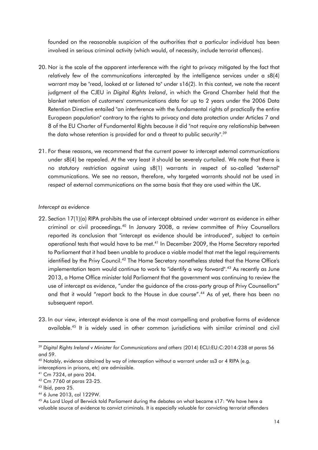founded on the reasonable suspicion of the authorities that a particular individual has been involved in serious criminal activity (which would, of necessity, include terrorist offences).

- 20. Nor is the scale of the apparent interference with the right to privacy mitigated by the fact that relatively few of the communications intercepted by the intelligence services under a s8(4) warrant may be "read, looked at or listened to" under s16(2). In this context, we note the recent judgment of the CJEU in *Digital Rights Ireland*, in which the Grand Chamber held that the blanket retention of customers' communications data for up to 2 years under the 2006 Data Retention Directive entailed "an interference with the fundamental rights of practically the entire European population" contrary to the rights to privacy and data protection under Articles 7 and 8 of the EU Charter of Fundamental Rights because it did "not require any relationship between the data whose retention is provided for and a threat to public security".<sup>39</sup>
- 21. For these reasons, we recommend that the current power to intercept external communications under s8(4) be repealed. At the very least it should be severely curtailed. We note that there is no statutory restriction against using s8(1) warrants in respect of so-called "external" communications. We see no reason, therefore, why targeted warrants should not be used in respect of external communications on the same basis that they are used within the UK.

#### *Intercept as evidence*

- 22. Section 17(1)(a) RIPA prohibits the use of intercept obtained under warrant as evidence in either criminal or civil proceedings.<sup>40</sup> In January 2008, a review committee of Privy Counsellors reported its conclusion that "intercept as evidence should be introduced", subject to certain operational tests that would have to be met.<sup>41</sup> In December 2009, the Home Secretary reported to Parliament that it had been unable to produce a viable model that met the legal requirements identified by the Privy Council.<sup>42</sup> The Home Secretary nonetheless stated that the Home Office's implementation team would continue to work to "identify a way forward".<sup>43</sup> As recently as June 2013, a Home Office minister told Parliament that the government was continuing to review the use of intercept as evidence, "under the guidance of the cross-party group of Privy Counsellors" and that it would "report back to the House in due course".<sup>44</sup> As of yet, there has been no subsequent report.
- 23. In our view, intercept evidence is one of the most compelling and probative forms of evidence available.<sup>45</sup> It is widely used in other common jurisdictions with similar criminal and civil

1

<sup>&</sup>lt;sup>39</sup> Digital Rights Ireland v Minister for Communications and others (2014) ECLI:EU:C:2014:238 at paras 56 and 59.

<sup>40</sup> Notably, evidence obtained by way of interception without a warrant under ss3 or 4 RIPA (e.g. interceptions in prisons, etc) *are* admissible.

<sup>41</sup> Cm 7324, at para 204.

<sup>42</sup> Cm 7760 at paras 23-25.

<sup>43</sup> Ibid, para 25.

<sup>44</sup> 6 June 2013, col 1229W.

<sup>45</sup> As Lord Lloyd of Berwick told Parliament during the debates on what became s17: "We have here a valuable source of evidence to convict criminals. It is especially valuable for convicting terrorist offenders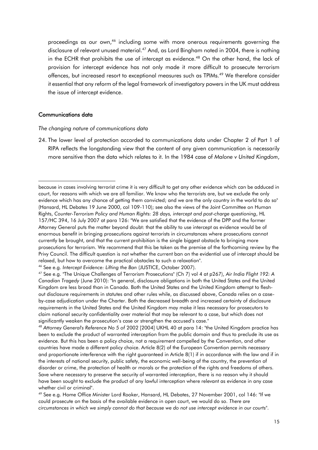proceedings as our own,<sup>46</sup> including some with more onerous requirements governing the disclosure of relevant unused material.<sup>47</sup> And, as Lord Bingham noted in 2004, there is nothing in the ECHR that prohibits the use of intercept as evidence.<sup>48</sup> On the other hand, the lack of provision for intercept evidence has not only made it more difficult to prosecute terrorism offences, but increased resort to exceptional measures such as TPIMs.<sup>49</sup> We therefore consider it essential that any reform of the legal framework of investigatory powers in the UK must address the issue of intercept evidence.

#### Communications data

1

*The changing nature of communications data*

24. The lower level of protection accorded to communications data under Chapter 2 of Part 1 of RIPA reflects the longstanding view that the content of any given communication is necessarily more sensitive than the data which relates to it. In the 1984 case of *Malone v United Kingdom*,

because in cases involving terrorist crime it is very difficult to get any other evidence which can be adduced in court, for reasons with which we are all familiar. We know who the terrorists are, but we exclude the only evidence which has any chance of getting them convicted; and we are the only country in the world to do so" (Hansard, HL Debates 19 June 2000, col 109-110); see also the views of the Joint Committee on Human Rights, *Counter-Terrorism Policy and Human Rights: 28 days, intercept and post-charge questioning*, HL 157/HC 394, 16 July 2007 at para 126: "We are satisfied that the evidence of the DPP and the former Attorney General puts the matter beyond doubt: that the ability to use intercept as evidence would be of enormous benefit in bringing prosecutions against terrorists in circumstances where prosecutions cannot currently be brought, and that the current prohibition is the single biggest obstacle to bringing more prosecutions for terrorism. We recommend that this be taken as the premise of the forthcoming review by the Privy Council. The difficult question is not whether the current ban on the evidential use of intercept should be relaxed, but how to overcome the practical obstacles to such a relaxation".

<sup>46</sup> See e.g. *Intercept Evidence: Lifting the Ban* (JUSTICE, October 2007).

<sup>47</sup> See e.g. "The Unique Challenges of Terrorism Prosecutions" (Ch 7) vol 4 at p267), *Air India Flight 192: A Canadian Tragedy* (June 2010): "In general, disclosure obligations in both the United States and the United Kingdom are less broad than in Canada. Both the United States and the United Kingdom attempt to fleshout disclosure requirements in statutes and other rules while, as discussed above, Canada relies on a caseby-case adjudication under the Charter. Both the decreased breadth and increased certainty of disclosure requirements in the United States and the United Kingdom may make it less necessary for prosecutors to claim national security confidentiality over material that may be relevant to a case, but which does not significantly weaken the prosecution's case or strengthen the accused's case."

<sup>48</sup> *Attorney General's Reference No 5 of* 2002 [2004] UKHL 40 at para 14: "the United Kingdom practice has been to exclude the product of warranted interception from the public domain and thus to preclude its use as evidence. But this has been a policy choice, not a requirement compelled by the Convention, and other countries have made a different policy choice. Article 8(2) of the European Convention permits necessary and proportionate interference with the right guaranteed in Article 8(1) if in accordance with the law and if in the interests of national security, public safety, the economic well-being of the country, the prevention of disorder or crime, the protection of health or morals or the protection of the rights and freedoms of others. Save where necessary to preserve the security of warranted interception, there is no reason why it should have been sought to exclude the product of any lawful interception where relevant as evidence in any case whether civil or criminal".

<sup>49</sup> See e.g. Home Office Minister Lord Rooker, Hansard, HL Debates, 27 November 2001, col 146: "If we could prosecute on the basis of the available evidence in open court, we would do so. *There are circumstances in which we simply cannot do that because we do not use intercept evidence in our courts*".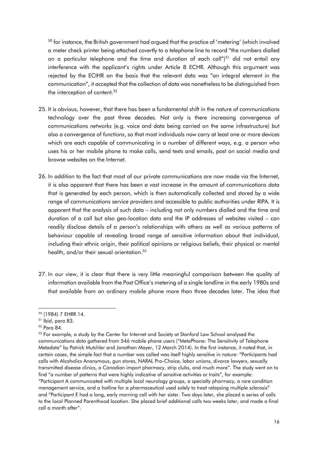<sup>50</sup> for instance, the British government had argued that the practice of 'metering' (which involved a meter check printer being attached covertly to a telephone line to record "the numbers dialled on a particular telephone and the time and duration of each call")<sup>51</sup> did not entail any interference with the applicant's rights under Article 8 ECHR. Although this argument was rejected by the ECtHR on the basis that the relevant data was "an integral element in the communication", it accepted that the collection of data was nonetheless to be distinguished from the interception of content.<sup>52</sup>

- 25. It is obvious, however, that there has been a fundamental shift in the nature of communications technology over the past three decades. Not only is there increasing convergence of communications *networks* (e.g. voice and data being carried on the same infrastructure) but also a convergence of *functions*, so that most individuals now carry at least one or more devices which are each capable of communicating in a number of different ways, e.g. a person who uses his or her mobile phone to make calls, send texts and emails, post on social media and browse websites on the Internet.
- 26. In addition to the fact that most of our private communications are now made via the Internet, it is also apparent that there has been a vast increase in the amount of communications data that is generated by each person, which is then automatically collected and stored by a wide range of communications service providers and accessible to public authorities under RIPA. It is apparent that the analysis of such data – including not only numbers dialled and the time and duration of a call but also geo-location data and the IP addresses of websites visited – can readily disclose details of a person's relationships with others as well as various patterns of behaviour capable of revealing broad range of sensitive information about that individual, including their ethnic origin, their political opinions or religious beliefs, their physical or mental health, and/or their sexual orientation.<sup>53</sup>
- 27. In our view, it is clear that there is very little meaningful comparison between the quality of information available from the Post Office's metering of a single landline in the early 1980s and that available from an ordinary mobile phone more than three decades later. The idea that

<sup>52</sup> Para 84.

<sup>50</sup> (1984) 7 EHRR 14.

<sup>51</sup> Ibid, para 83.

<sup>&</sup>lt;sup>53</sup> For example, a study by the Center for Internet and Society at Stanford Law School analysed the communications data gathered from 546 mobile phone users ("MetaPhone: The Sensitivity of Telephone Metadata" by Patrick Mutchler and Jonathan Mayer, 12 March 2014). In the first instance, it noted that, in certain cases, the simple fact that a number was called was itself highly sensitive in nature: "Participants had calls with Alcoholics Anonymous, gun stores, NARAL Pro-Choice, labor unions, divorce lawyers, sexually transmitted disease clinics, a Canadian import pharmacy, strip clubs, and much more". The study went on to find "a number of patterns that were highly indicative of sensitive activities or traits", for example: "Participant A communicated with multiple local neurology groups, a specialty pharmacy, a rare condition management service, and a hotline for a pharmaceutical used solely to treat relapsing multiple sclerosis" and "Participant E had a long, early morning call with her sister. Two days later, she placed a series of calls to the local Planned Parenthood location. She placed brief additional calls two weeks later, and made a final call a month after".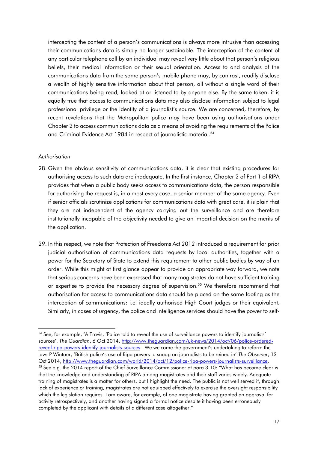intercepting the content of a person's communications is always more intrusive than accessing their communications data is simply no longer sustainable. The interception of the content of any particular telephone call by an individual may reveal very little about that person's religious beliefs, their medical information or their sexual orientation. Access to and analysis of the communications data from the same person's mobile phone may, by contrast, readily disclose a wealth of highly sensitive information about that person, all without a single word of their communications being read, looked at or listened to by anyone else. By the same token, it is equally true that access to communications data may also disclose information subject to legal professional privilege or the identity of a journalist's source. We are concerned, therefore, by recent revelations that the Metropolitan police may have been using authorisations under Chapter 2 to access communications data as a means of avoiding the requirements of the Police and Criminal Evidence Act 1984 in respect of journalistic material.<sup>54</sup>

#### *Authorisation*

1

- 28. Given the obvious sensitivity of communications data, it is clear that existing procedures for authorising access to such data are inadequate. In the first instance, Chapter 2 of Part 1 of RIPA provides that when a public body seeks access to communications data, the person responsible for authorising the request is, in almost every case, a senior member of the same agency. Even if senior officials scrutinize applications for communications data with great care, it is plain that they are not independent of the agency carrying out the surveillance and are therefore institutionally incapable of the objectivity needed to give an impartial decision on the merits of the application.
- 29. In this respect, we note that Protection of Freedoms Act 2012 introduced a requirement for prior judicial authorisation of communications data requests by local authorities, together with a power for the Secretary of State to extend this requirement to other public bodies by way of an order. While this might at first glance appear to provide an appropriate way forward, we note that serious concerns have been expressed that many magistrates do not have sufficient training or expertise to provide the necessary degree of supervision.<sup>55</sup> We therefore recommend that authorisation for access to communications data should be placed on the same footing as the interception of communications: i.e. ideally authorised High Court judges or their equivalent. Similarly, in cases of urgency, the police and intelligence services should have the power to self-

<sup>54</sup> See, for example, 'A Travis, 'Police told to reveal the use of surveillance powers to identify journalists' sources', *The Guardian*, 6 Oct 2014, [http://www.theguardian.com/uk-news/2014/oct/06/police-ordered](http://www.theguardian.com/uk-news/2014/oct/06/police-ordered-reveal-ripa-powers-identify-journalists-sources)[reveal-ripa-powers-identify-journalists-sources](http://www.theguardian.com/uk-news/2014/oct/06/police-ordered-reveal-ripa-powers-identify-journalists-sources). We welcome the government's undertaking to reform the law: P Wintour, 'British police's use of Ripa powers to snoop on journalists to be reined in' *The Observer*, 12 Oct 2014, [http://www.theguardian.com/world/2014/oct/12/police-ripa-powers-journalists-surveillance.](http://www.theguardian.com/world/2014/oct/12/police-ripa-powers-journalists-surveillance) <sup>55</sup> See e.g. the 2014 report of the Chief Surveillance Commissioner at para 3.10: "What has become clear is that the knowledge and understanding of RIPA among magistrates and their staff varies widely. Adequate training of magistrates is a matter for others, but I highlight the need. The public is not well served if, through lack of experience or training, magistrates are not equipped effectively to exercise the oversight responsibility which the legislation requires. I am aware, for example, of one magistrate having granted an approval for activity retrospectively, and another having signed a formal notice despite it having been erroneously completed by the applicant with details of a different case altogether."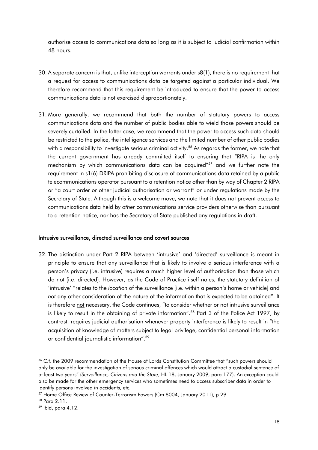authorise access to communications data so long as it is subject to judicial confirmation within 48 hours.

- 30. A separate concern is that, unlike interception warrants under s8(1), there is no requirement that a request for access to communications data be targeted against a particular individual. We therefore recommend that this requirement be introduced to ensure that the power to access communications data is not exercised disproportionately.
- 31. More generally, we recommend that both the number of statutory powers to access communications data and the number of public bodies able to wield those powers should be severely curtailed. In the latter case, we recommend that the power to access such data should be restricted to the police, the intelligence services and the limited number of other public bodies with a responsibility to investigate serious criminal activity.<sup>56</sup> As regards the former, we note that the current government has already committed itself to ensuring that "RIPA is the only mechanism by which communications data can be acquired"<sup>57</sup> and we further note the requirement in s1(6) DRIPA prohibiting disclosure of communications data retained by a public telecommunications operator pursuant to a retention notice other than by way of Chapter 2 RIPA or "a court order or other judicial authorisation or warrant" or under regulations made by the Secretary of State. Although this is a welcome move, we note that it does not prevent access to communications data held by *other* communications service providers otherwise than pursuant to a retention notice, nor has the Secretary of State published any regulations in draft.

#### Intrusive surveillance, directed surveillance and covert sources

32. The distinction under Part 2 RIPA between 'intrusive' and 'directed' surveillance is meant in principle to ensure that any surveillance that is likely to involve a serious interference with a person's privacy (i.e. intrusive) requires a much higher level of authorisation than those which do not (i.e. directed). However, as the Code of Practice itself notes, the statutory definition of 'intrusive' "relates to the *location* of the surveillance [i.e. within a person's home or vehicle] and *not* any other consideration of the nature of the information that is expected to be obtained". It is therefore not necessary, the Code continues, "to consider whether or not intrusive surveillance is likely to result in the obtaining of private information".<sup>58</sup> Part 3 of the Police Act 1997, by contrast, requires judicial authorisation whenever property interference is likely to result in "the acquisition of knowledge of matters subject to legal privilege, confidential personal information or confidential journalistic information".<sup>59</sup>

<sup>56</sup> C.f. the 2009 recommendation of the House of Lords Constitution Committee that "such powers should only be available for the investigation of serious criminal offences which would attract a custodial sentence of at least two years" (*Surveillance, Citizens and the State*, HL 18, January 2009, para 177). An exception could also be made for the other emergency services who sometimes need to access subscriber data in order to identify persons involved in accidents, etc.

<sup>57</sup> Home Office Review of Counter-Terrorism Powers (Cm 8004, January 2011), p 29.

<sup>58</sup> Para 2.11.

<sup>59</sup> Ibid, para 4.12.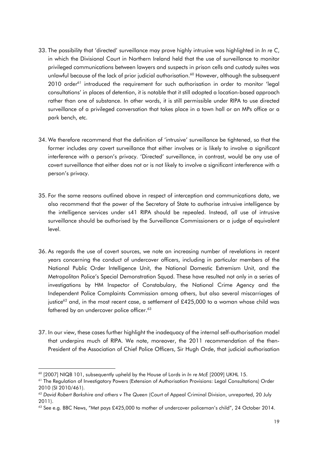- 33. The possibility that 'directed' surveillance may prove highly intrusive was highlighted in *In re C*, in which the Divisional Court in Northern Ireland held that the use of surveillance to monitor privileged communications between lawyers and suspects in prison cells and custody suites was unlawful because of the lack of prior judicial authorisation.<sup>60</sup> However, although the subsequent 2010 order<sup>61</sup> introduced the requirement for such authorisation in order to monitor 'legal consultations' in places of detention, it is notable that it still adopted a location-based approach rather than one of substance. In other words, it is still permissible under RIPA to use directed surveillance of a privileged conversation that takes place in a town hall or an MPs office or a park bench, etc.
- 34. We therefore recommend that the definition of 'intrusive' surveillance be tightened, so that the former includes *any* covert surveillance that either involves or is likely to involve a significant interference with a person's privacy. 'Directed' surveillance, in contrast, would be any use of covert surveillance that either does not or is not likely to involve a significant interference with a person's privacy.
- 35. For the same reasons outlined above in respect of interception and communications data, we also recommend that the power of the Secretary of State to authorise intrusive intelligence by the intelligence services under s41 RIPA should be repealed. Instead, *all* use of intrusive surveillance should be authorised by the Surveillance Commissioners or a judge of equivalent level.
- 36. As regards the use of covert sources, we note an increasing number of revelations in recent years concerning the conduct of undercover officers, including in particular members of the National Public Order Intelligence Unit, the National Domestic Extremism Unit, and the Metropolitan Police's Special Demonstration Squad. These have resulted not only in a series of investigations by HM Inspector of Constabulary, the National Crime Agency and the Independent Police Complaints Commission among others, but also several miscarriages of justice<sup>62</sup> and, in the most recent case, a settlement of £425,000 to a woman whose child was fathered by an undercover police officer.<sup>63</sup>
- 37. In our view, these cases further highlight the inadequacy of the internal self-authorisation model that underpins much of RIPA. We note, moreover, the 2011 recommendation of the then-President of the Association of Chief Police Officers, Sir Hugh Orde, that judicial authorisation

<sup>60</sup> [2007] NIQB 101, subsequently upheld by the House of Lords in *In re McE* [2009] UKHL 15.

<sup>61</sup> The Regulation of Investigatory Powers (Extension of Authorisation Provisions: Legal Consultations) Order 2010 (SI 2010/461).

<sup>62</sup> *David Robert Barkshire and others v The Queen* (Court of Appeal Criminal Division, unreported, 20 July 2011).

<sup>&</sup>lt;sup>63</sup> See e.g. BBC News, "Met pays £425,000 to mother of undercover policeman's child", 24 October 2014.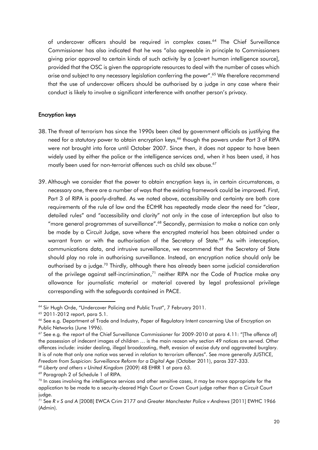of undercover officers should be required in complex cases.<sup>64</sup> The Chief Surveillance Commissioner has also indicated that he was "also agreeable in principle to Commissioners giving prior approval to certain kinds of such activity by a [covert human intelligence source], provided that the OSC is given the appropriate resources to deal with the number of cases which arise and subject to any necessary legislation conferring the power".<sup>65</sup> We therefore recommend that the use of undercover officers should be authorised by a judge in any case where their conduct is likely to involve a significant interference with another person's privacy.

# Encryption keys

- 38. The threat of terrorism has since the 1990s been cited by government officials as justifying the need for a statutory power to obtain encryption keys,<sup>66</sup> though the powers under Part 3 of RIPA were not brought into force until October 2007. Since then, it does not appear to have been widely used by either the police or the intelligence services and, when it has been used, it has mostly been used for non-terrorist offences such as child sex abuse. 67
- 39. Although we consider that the power to obtain encryption keys is, in certain circumstances, a necessary one, there are a number of ways that the existing framework could be improved. First, Part 3 of RIPA is poorly-drafted. As we noted above, accessibility and certainty are both core requirements of the rule of law and the ECtHR has repeatedly made clear the need for "clear, detailed rules" and "accessibility and clarity" not only in the case of interception but also to "more general programmes of surveillance".<sup>68</sup> Secondly, permission to make a notice can only be made by a Circuit Judge, save where the encrypted material has been obtained under a warrant from or with the authorisation of the Secretary of State.<sup>69</sup> As with interception, communications data, and intrusive surveillance, we recommend that the Secretary of State should play no role in authorising surveillance. Instead, an encryption notice should only be authorised by a judge.<sup>70</sup> Thirdly, although there has already been some judicial consideration of the privilege against self-incrimination, $71$  neither RIPA nor the Code of Practice make any allowance for journalistic material or material covered by legal professional privilege corresponding with the safeguards contained in PACE.

**.** 

<sup>68</sup> *Liberty and others v United Kingdom* (2009) 48 EHRR 1 at para 63.

<sup>&</sup>lt;sup>64</sup> Sir Hugh Orde, "Undercover Policing and Public Trust", 7 February 2011.

<sup>65</sup> 2011-2012 report, para 5.1.

<sup>66</sup> See e.g. Department of Trade and Industry, Paper of Regulatory Intent concerning Use of Encryption on Public Networks (June 1996).

<sup>&</sup>lt;sup>67</sup> See e.g. the report of the Chief Surveillance Commissioner for 2009-2010 at para 4.11: "[The offence of] the possession of indecent images of children … is the main reason why section 49 notices are served. Other offences include: insider dealing, illegal broadcasting, theft, evasion of excise duty and aggravated burglary. It is of note that only one notice was served in relation to terrorism offences". See more generally JUSTICE, *Freedom from Suspicion: Surveillance Reform for a Digital Age* (October 2011), paras 327-333.

<sup>69</sup> Paragraph 2 of Schedule 1 of RIPA.

 $70$  In cases involving the intelligence services and other sensitive cases, it may be more appropriate for the application to be made to a security-cleared High Court or Crown Court judge rather than a Circuit Court judge.

<sup>71</sup> See *R v S and A* [2008] EWCA Crim 2177 and *Greater Manchester Police v Andrews* [2011] EWHC 1966 (Admin).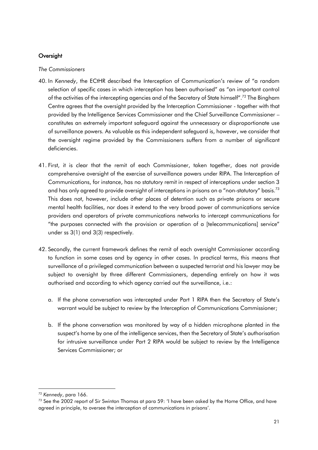# **Oversight**

#### *The Commissioners*

- 40. In *Kennedy*, the ECtHR described the Interception of Communication's review of "a random selection of specific cases in which interception has been authorised" as "an important control of the activities of the intercepting agencies and of the Secretary of State himself".<sup>72</sup> The Bingham Centre agrees that the oversight provided by the Interception Commissioner - together with that provided by the Intelligence Services Commissioner and the Chief Surveillance Commissioner – constitutes an extremely important safeguard against the unnecessary or disproportionate use of surveillance powers. As valuable as this independent safeguard is, however, we consider that the oversight regime provided by the Commissioners suffers from a number of significant deficiencies.
- 41. First, it is clear that the remit of each Commissioner, taken together, does not provide comprehensive oversight of the exercise of surveillance powers under RIPA. The Interception of Communications, for instance, has no statutory remit in respect of interceptions under section 3 and has only agreed to provide oversight of interceptions in prisons on a "non-statutory" basis.<sup>73</sup> This does not, however, include other places of detention such as private prisons or secure mental health facilities, nor does it extend to the very broad power of communications service providers and operators of private communications networks to intercept communications for "the purposes connected with the provision or operation of a [telecommunications] service" under ss 3(1) and 3(3) respectively.
- 42. Secondly, the current framework defines the remit of each oversight Commissioner according to function in some cases and by agency in other cases. In practical terms, this means that surveillance of a privileged communication between a suspected terrorist and his lawyer may be subject to oversight by three different Commissioners, depending entirely on how it was authorised and according to which agency carried out the surveillance, i.e.:
	- a. If the phone conversation was intercepted under Part 1 RIPA then the Secretary of State's warrant would be subject to review by the Interception of Communications Commissioner;
	- b. If the phone conversation was monitored by way of a hidden microphone planted in the suspect's home by one of the intelligence services, then the Secretary of State's authorisation for intrusive surveillance under Part 2 RIPA would be subject to review by the Intelligence Services Commissioner; or

1

<sup>72</sup> *Kennedy*, para 166.

 $73$  See the 2002 report of Sir Swinton Thomas at para 59: 'I have been asked by the Home Office, and have agreed in principle, to oversee the interception of communications in prisons'.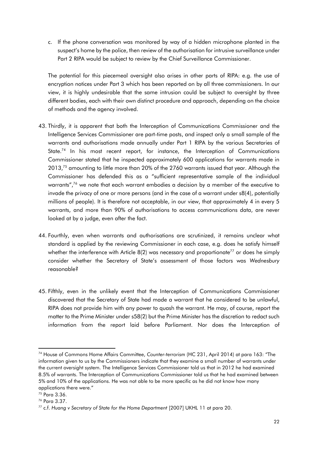c. If the phone conversation was monitored by way of a hidden microphone planted in the suspect's home by the police, then review of the authorisation for intrusive surveillance under Part 2 RIPA would be subject to review by the Chief Surveillance Commissioner.

The potential for this piecemeal oversight also arises in other parts of RIPA: e.g. the use of encryption notices under Part 3 which has been reported on by all three commissioners. In our view, it is highly undesirable that the same intrusion could be subject to oversight by three different bodies, each with their own distinct procedure and approach, depending on the choice of methods and the agency involved.

- 43. Thirdly, it is apparent that both the Interception of Communications Commissioner and the Intelligence Services Commissioner are part-time posts, and inspect only a small sample of the warrants and authorisations made annually under Part 1 RIPA by the various Secretaries of State.<sup>74</sup> In his most recent report, for instance, the Interception of Communications Commissioner stated that he inspected approximately 600 applications for warrants made in  $2013<sup>75</sup>$  amounting to little more than 20% of the 2760 warrants issued that year. Although the Commissioner has defended this as a "sufficient representative sample of the individual warrants",<sup>76</sup> we note that each warrant embodies a decision by a member of the executive to invade the privacy of one or more persons (and in the case of a warrant under s8(4), potentially millions of people). It is therefore not acceptable, in our view, that approximately 4 in every 5 warrants, and more than 90% of authorisations to access communications data, are never looked at by a judge, even after the fact.
- 44. Fourthly, even when warrants and authorisations are scrutinized, it remains unclear what standard is applied by the reviewing Commissioner in each case, e.g. does he satisfy himself whether the interference with Article 8(2) was necessary and proportionate<sup>77</sup> or does he simply consider whether the Secretary of State's assessment of those factors was *Wednesbury*  reasonable?
- 45. Fifthly, even in the unlikely event that the Interception of Communications Commissioner discovered that the Secretary of State had made a warrant that he considered to be unlawful, RIPA does not provide him with any power to quash the warrant. He may, of course, report the matter to the Prime Minister under s58(2) but the Prime Minister has the discretion to redact such information from the report laid before Parliament. Nor does the Interception of

 $\overline{\phantom{a}}$ 

<sup>74</sup> House of Commons Home Affairs Committee, *Counter-terrorism* (HC 231, April 2014) at para 163: "The information given to us by the Commissioners indicate that they examine a small number of warrants under the current oversight system. The Intelligence Services Commissioner told us that in 2012 he had examined 8.5% of warrants. The Interception of Communications Commissioner told us that he had examined between 5% and 10% of the applications. He was not able to be more specific as he did not know how many applications there were."

<sup>75</sup> Para 3.36.

<sup>76</sup> Para 3.37.

<sup>77</sup> c.f. *Huang v Secretary of State for the Home Department* [2007] UKHL 11 at para 20.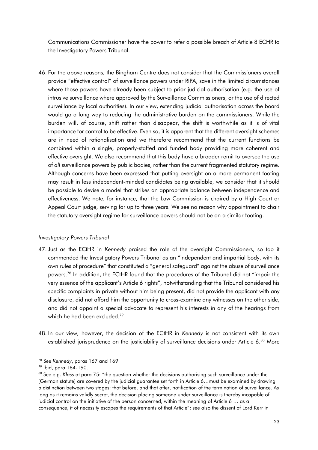Communications Commissioner have the power to refer a possible breach of Article 8 ECHR to the Investigatory Powers Tribunal.

46. For the above reasons, the Bingham Centre does not consider that the Commissioners overall provide "effective control" of surveillance powers under RIPA, save in the limited circumstances where those powers have already been subject to prior judicial authorisation (e.g. the use of intrusive surveillance where approved by the Surveillance Commissioners, or the use of directed surveillance by local authorities). In our view, extending judicial authorisation across the board would go a long way to reducing the administrative burden on the commissioners. While the burden will, of course, shift rather than disappear, the shift is worthwhile as it is of vital importance for control to be effective. Even so, it is apparent that the different oversight schemes are in need of rationalisation and we therefore recommend that the current functions be combined within a single, properly-staffed and funded body providing more coherent and effective oversight. We also recommend that this body have a broader remit to oversee the use of *all* surveillance powers by public bodies, rather than the current fragmented statutory regime. Although concerns have been expressed that putting oversight on a more permanent footing may result in less independent-minded candidates being available, we consider that it should be possible to devise a model that strikes an appropriate balance between independence and effectiveness. We note, for instance, that the Law Commission is chaired by a High Court or Appeal Court judge, serving for up to three years. We see no reason why appointment to chair the statutory oversight regime for surveillance powers should not be on a similar footing.

# *Investigatory Powers Tribunal*

- 47. Just as the ECtHR in *Kennedy* praised the role of the oversight Commissioners, so too it commended the Investigatory Powers Tribunal as an "independent and impartial body, with its own rules of procedure" that constituted a "general safeguard" against the abuse of surveillance powers.<sup>78</sup> In addition, the ECtHR found that the procedures of the Tribunal did not "impair the very essence of the applicant's Article 6 rights", notwithstanding that the Tribunal considered his specific complaints in private without him being present, did not provide the applicant with any disclosure, did not afford him the opportunity to cross-examine any witnesses on the other side, and did not appoint a special advocate to represent his interests in any of the hearings from which he had been excluded.<sup>79</sup>
- 48. In our view, however, the decision of the ECtHR in *Kennedy* is not consistent with its own established jurisprudence on the justiciability of surveillance decisions under Article 6.<sup>80</sup> More

<sup>78</sup> See *Kennedy*, paras 167 and 169.

<sup>79</sup> Ibid, para 184-190.

<sup>80</sup> See e.g. *Klass* at para 75: "the question whether the decisions authorising such surveillance under the [German statute] are covered by the judicial guarantee set forth in Article 6…must be examined by drawing a distinction between two stages: that before, and that after, notification of the termination of surveillance. As long as it remains validly secret, the decision placing someone under surveillance is thereby incapable of judicial control on the initiative of the person concerned, within the meaning of Article 6 … as a consequence, it of necessity escapes the requirements of that Article"; see also the dissent of Lord Kerr in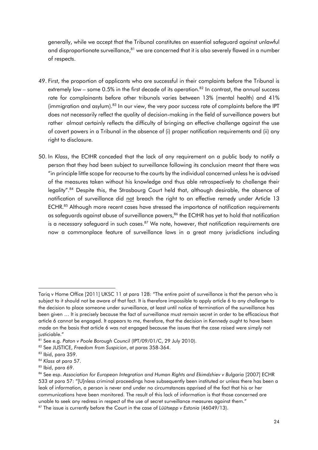generally, while we accept that the Tribunal constitutes an essential safeguard against unlawful and disproportionate surveillance, $81$  we are concerned that it is also severely flawed in a number of respects.

- 49. First, the proportion of applicants who are successful in their complaints before the Tribunal is extremely low – some 0.5% in the first decade of its operation.<sup>82</sup> In contrast, the annual success rate for complainants before other tribunals varies between 13% (mental health) and 41% (immigration and asylum).<sup>83</sup> In our view, the very poor success rate of complaints before the IPT does not necessarily reflect the quality of decision-making in the field of surveillance powers but rather almost certainly reflects the difficulty of bringing an effective challenge against the use of covert powers in a Tribunal in the absence of (i) proper notification requirements and (ii) any right to disclosure.
- 50. In *Klass*, the ECtHR conceded that the lack of any requirement on a public body to notify a person that they had been subject to surveillance following its conclusion meant that there was "in principle little scope for recourse to the courts by the individual concerned unless he is advised of the measures taken without his knowledge and thus able retrospectively to challenge their legality".<sup>84</sup> Despite this, the Strasbourg Court held that, although desirable, the absence of notification of surveillance did not breach the right to an effective remedy under Article 13 ECHR.<sup>85</sup> Although more recent cases have stressed the importance of notification requirements as safeguards against abuse of surveillance powers,<sup>86</sup> the ECtHR has yet to hold that notification is a *necessary* safeguard in such cases.<sup>87</sup> We note, however, that notification requirements are now a commonplace feature of surveillance laws in a great many jurisdictions including

Tariq v Home Office [2011] UKSC 11 at para 128: "The entire point of surveillance is that the person who is subject to it should not be aware of that fact. It is therefore impossible to apply article 6 to any challenge to the decision to place someone under surveillance, at least until notice of termination of the surveillance has been given … It is precisely because the fact of surveillance must remain secret in order to be efficacious that article 6 cannot be engaged. It appears to me, therefore, that the decision in Kennedy ought to have been made on the basis that article 6 was not engaged because the issues that the case raised were simply not justiciable."

<sup>81</sup> See e.g. *Paton v Poole Borough Council* (IPT/09/01/C, 29 July 2010).

<sup>82</sup> See JUSTICE, *Freedom from Suspicion*, at paras 358-364.

 $83$  Ibid, para 359.

<sup>84</sup> *Klass* at p*ara* 57.

 $85$  Ibid, para 69.

<sup>86</sup> See esp. Association for European Integration and Human Rights and Ekimdzhiev v Bulgaria [2007] ECHR 533 at para 57: "[U]nless criminal proceedings have subsequently been instituted or unless there has been a leak of information, a person is never and under no circumstances apprised of the fact that his or her communications have been monitored. The result of this lack of information is that those concerned are unable to seek any redress in respect of the use of secret surveillance measures against them."

<sup>87</sup> The issue is currently before the Court in the case of *Lüütsepp v Estonia* (46049/13).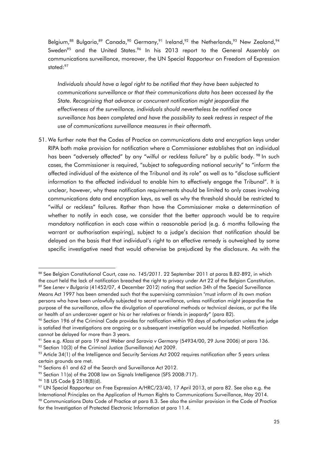Belgium,<sup>88</sup> Bulgaria,<sup>89</sup> Canada,<sup>90</sup> Germany,<sup>91</sup> Ireland,<sup>92</sup> the Netherlands,<sup>93</sup> New Zealand,<sup>94</sup> Sweden<sup>95</sup> and the United States.<sup>96</sup> In his 2013 report to the General Assembly on communications surveillance, moreover, the UN Special Rapporteur on Freedom of Expression stated:<sup>97</sup>

*Individuals should have a legal right to be notified that they have been subjected to communications surveillance or that their communications data has been accessed by the State. Recognizing that advance or concurrent notification might jeopardize the effectiveness of the surveillance, individuals should nevertheless be notified once surveillance has been completed and have the possibility to seek redress in respect of the use of communications surveillance measures in their aftermath.*

51. We further note that the Codes of Practice on communications data and encryption keys under RIPA both make provision for notification where a Commissioner establishes that an individual has been "adversely affected" by any "wilful or reckless failure" by a public body. <sup>98</sup> In such cases, the Commissioner is required, "subject to safeguarding national security" to "inform the affected individual of the existence of the Tribunal and its role" as well as to "disclose sufficient information to the affected individual to enable him to effectively engage the Tribunal". It is unclear, however, why these notification requirements should be limited to only cases involving communications data and encryption keys, as well as why the threshold should be restricted to "wilful or reckless" failures. Rather than have the Commissioner make a determination of whether to notify in each case, we consider that the better approach would be to require mandatory notification in each case within a reasonable period (e.g. 6 months following the warrant or authorisation expiring), subject to a judge's decision that notification should be delayed on the basis that that individual's right to an effective remedy is outweighed by some specific investigative need that would otherwise be prejudiced by the disclosure. As with the

**<sup>.</sup>** <sup>88</sup> See Belgian Constitutional Court, *case no. 145/2011*. 22 September 2011 at paras B.82-B92, in which the court held the lack of notification breached the right to privacy under Art 22 of the Belgian Constitution. 89 See Lenev v Bulgaria (41452/07, 4 December 2012) noting that section 34h of the Special Surveillance Means Act 1997 has been amended such that the supervising commission "must inform of its own motion persons who have been unlawfully subjected to secret surveillance, unless notification might jeopardise the purpose of the surveillance, allow the divulgation of operational methods or technical devices, or put the life or health of an undercover agent or his or her relatives or friends in jeopardy" (para 82).

<sup>90</sup> Section 196 of the Criminal Code provides for notification within 90 days of authorisation unless the judge is satisfied that investigations are ongoing or a subsequent investigation would be impeded. Notification cannot be delayed for more than 3 years.

<sup>91</sup> See e.g. *Klass* at para 19 and *Weber and Saravia v Germany* (54934/00, 29 June 2006) at para 136.

<sup>&</sup>lt;sup>92</sup> Section 10(3) of the Criminal Justice (Surveillance) Act 2009.

 $93$  Article 34(1) of the Intelligence and Security Services Act 2002 requires notification after 5 years unless certain grounds are met.

<sup>94</sup> Sections 61 and 62 of the Search and Surveillance Act 2012.

 $95$  Section 11(a) of the 2008 law on Signals Intelligence (SFS 2008:717).

<sup>96</sup> 18 US Code § 2518(8)(d).

<sup>97</sup> UN Special Rapporteur on Free Expression A/HRC/23/40, 17 April 2013, at para 82. See also e.g. the International Principles on the Application of Human Rights to Communications Surveillance, May 2014. <sup>98</sup> Communications Data Code of Practice at para 8.3. See also the similar provision in the Code of Practice for the Investigation of Protected Electronic Information at para 11.4.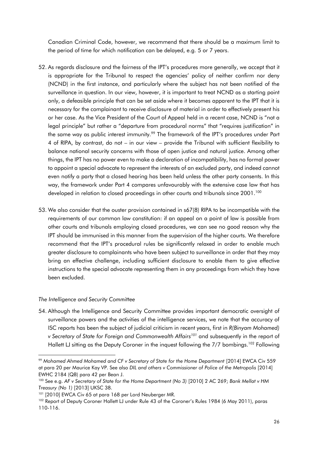Canadian Criminal Code, however, we recommend that there should be a maximum limit to the period of time for which notification can be delayed, e.g. 5 or 7 years.

- 52. As regards disclosure and the fairness of the IPT's procedures more generally, we accept that it is appropriate for the Tribunal to respect the agencies' policy of neither confirm nor deny (NCND) in the first instance, and particularly where the subject has not been notified of the surveillance in question. In our view, however, it is important to treat NCND as a starting point only, a defeasible principle that can be set aside where it becomes apparent to the IPT that it is necessary for the complainant to receive disclosure of material in order to effectively present his or her case. As the Vice President of the Court of Appeal held in a recent case, NCND is "not a legal principle" but rather a "departure from procedural norms" that "requires justification" in the same way as public interest immunity.<sup>99</sup> The framework of the IPT's procedures under Part 4 of RIPA, by contrast, do not – in our view – provide the Tribunal with sufficient flexibility to balance national security concerns with those of open justice and natural justice. Among other things, the IPT has no power even to make a declaration of incompatibility, has no formal power to appoint a special advocate to represent the interests of an excluded party, and indeed cannot even notify a party that a closed hearing has been held unless the other party consents. In this way, the framework under Part 4 compares unfavourably with the extensive case law that has developed in relation to closed proceedings in other courts and tribunals since 2001.<sup>100</sup>
- 53. We also consider that the ouster provision contained in s67(8) RIPA to be incompatible with the requirements of our common law constitution: if an appeal on a point of law is possible from other courts and tribunals employing closed procedures, we can see no good reason why the IPT should be immunised in this manner from the supervision of the higher courts. We therefore recommend that the IPT's procedural rules be significantly relaxed in order to enable much greater disclosure to complainants who have been subject to surveillance in order that they may bring an effective challenge, including sufficient disclosure to enable them to give effective instructions to the special advocate representing them in any proceedings from which they have been excluded.

#### *The Intelligence and Security Committee*

54. Although the Intelligence and Security Committee provides important democratic oversight of surveillance powers and the activities of the intelligence services, we note that the accuracy of ISC reports has been the subject of judicial criticism in recent years, first in *R(Binyam Mohamed) v Secretary of State for Foreign and Commonwealth Affairs<sup>101</sup>* and subsequently in the report of Hallett LJ sitting as the Deputy Coroner in the inquest following the 7/7 bombings.<sup>102</sup> Following

**<sup>.</sup>** <sup>99</sup> *Mohamed Ahmed Mohamed and CF v Secretary of State for the Home Department* [2014] EWCA Civ 559 at para 20 per Maurice Kay VP. See also *DIL and others v Commissioner of Police of the Metropolis* [2014] EWHC 2184 (QB) para 42 per Bean J.

<sup>100</sup> See e.g. *AF v Secretary of State for the Home Department (No 3)* [2010] 2 AC 269; *Bank Mellat v HM Treasury (No 1)* [2013] UKSC 38.

<sup>101 [2010]</sup> EWCA Civ 65 at para 168 per Lord Neuberger MR.

<sup>102</sup> Report of Deputy Coroner Hallett LJ under Rule 43 of the Coroner's Rules 1984 (6 May 2011), paras 110-116.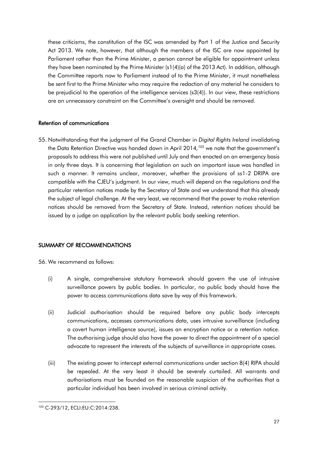these criticisms, the constitution of the ISC was amended by Part 1 of the Justice and Security Act 2013. We note, however, that although the members of the ISC are now appointed by Parliament rather than the Prime Minister, a person cannot be eligible for appointment unless they have been nominated by the Prime Minister (s1(4)(a) of the 2013 Act). In addition, although the Committee reports now to Parliament instead of to the Prime Minister, it must nonetheless be sent first to the Prime Minister who may require the redaction of any material he considers to be prejudicial to the operation of the intelligence services (s3(4)). In our view, these restrictions are an unnecessary constraint on the Committee's oversight and should be removed.

# Retention of communications

55. Notwithstanding that the judgment of the Grand Chamber in *Digital Rights Ireland* invalidating the Data Retention Directive was handed down in April 2014*, <sup>103</sup>* we note that the government's proposals to address this were not published until July and then enacted on an emergency basis in only three days. It is concerning that legislation on such an important issue was handled in such a manner. It remains unclear, moreover, whether the provisions of ss1-2 DRIPA are compatible with the CJEU's judgment. In our view, much will depend on the regulations and the particular retention notices made by the Secretary of State and we understand that this already the subject of legal challenge. At the very least, we recommend that the power to make retention notices should be removed from the Secretary of State. Instead, retention notices should be issued by a judge on application by the relevant public body seeking retention.

# SUMMARY OF RECOMMENDATIONS

56. We recommend as follows:

- (i) A single, comprehensive statutory framework should govern the use of intrusive surveillance powers by public bodies. In particular, no public body should have the power to access communications data save by way of this framework.
- (ii) Judicial authorisation should be required before any public body intercepts communications, accesses communications data, uses intrusive surveillance (including a covert human intelligence source), issues an encryption notice or a retention notice. The authorising judge should also have the power to direct the appointment of a special advocate to represent the interests of the subjects of surveillance in appropriate cases.
- (iii) The existing power to intercept external communications under section 8(4) RIPA should be repealed. At the very least it should be severely curtailed. All warrants and authorisations must be founded on the reasonable suspicion of the authorities that a particular individual has been involved in serious criminal activity.

**<sup>.</sup>** <sup>103</sup> C-293/12, ECLI:EU:C:2014:238.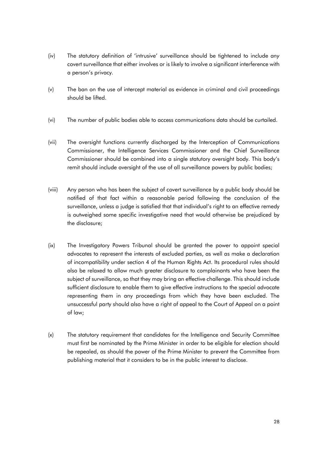- (iv) The statutory definition of 'intrusive' surveillance should be tightened to include *any* covert surveillance that either involves or is likely to involve a significant interference with a person's privacy.
- (v) The ban on the use of intercept material as evidence in criminal and civil proceedings should be lifted.
- (vi) The number of public bodies able to access communications data should be curtailed.
- (vii) The oversight functions currently discharged by the Interception of Communications Commissioner, the Intelligence Services Commissioner and the Chief Surveillance Commissioner should be combined into a single statutory oversight body. This body's remit should include oversight of the use of all surveillance powers by public bodies;
- (viii) Any person who has been the subject of covert surveillance by a public body should be notified of that fact within a reasonable period following the conclusion of the surveillance, unless a judge is satisfied that that individual's right to an effective remedy is outweighed some specific investigative need that would otherwise be prejudiced by the disclosure;
- (ix) The Investigatory Powers Tribunal should be granted the power to appoint special advocates to represent the interests of excluded parties, as well as make a declaration of incompatibility under section 4 of the Human Rights Act. Its procedural rules should also be relaxed to allow much greater disclosure to complainants who have been the subject of surveillance, so that they may bring an effective challenge. This should include sufficient disclosure to enable them to give effective instructions to the special advocate representing them in any proceedings from which they have been excluded. The unsuccessful party should also have a right of appeal to the Court of Appeal on a point of law;
- (x) The statutory requirement that candidates for the Intelligence and Security Committee must first be nominated by the Prime Minister in order to be eligible for election should be repealed, as should the power of the Prime Minister to prevent the Committee from publishing material that it considers to be in the public interest to disclose.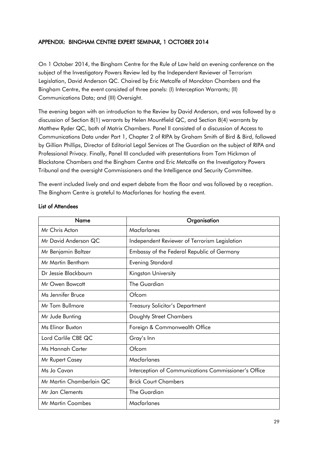# APPENDIX: BINGHAM CENTRE EXPERT SEMINAR, 1 OCTOBER 2014

On 1 October 2014, the Bingham Centre for the Rule of Law held an evening conference on the subject of the Investigatory Powers Review led by the Independent Reviewer of Terrorism Legislation, David Anderson QC. Chaired by Eric Metcalfe of Monckton Chambers and the Bingham Centre, the event consisted of three panels: (I) Interception Warrants; (II) Communications Data; and (III) Oversight.

The evening began with an introduction to the Review by David Anderson, and was followed by a discussion of Section 8(1) warrants by Helen Mountfield QC, and Section 8(4) warrants by Matthew Ryder QC, both of Matrix Chambers. Panel II consisted of a discussion of Access to Communications Data under Part 1, Chapter 2 of RIPA by Graham Smith of Bird & Bird, followed by Gillian Phillips, Director of Editorial Legal Services at The Guardian on the subject of RIPA and Professional Privacy. Finally, Panel III concluded with presentations from Tom Hickman of Blackstone Chambers and the Bingham Centre and Eric Metcalfe on the Investigatory Powers Tribunal and the oversight Commissioners and the Intelligence and Security Committee.

The event included lively and and expert debate from the floor and was followed by a reception. The Bingham Centre is grateful to Macfarlanes for hosting the event.

| Name                     | Organisation                                         |
|--------------------------|------------------------------------------------------|
| Mr Chris Acton           | Macfarlanes                                          |
| Mr David Anderson QC     | Independent Reviewer of Terrorism Legislation        |
| Mr Benjamin Baltzer      | Embassy of the Federal Republic of Germany           |
| Mr Martin Bentham        | <b>Evening Standard</b>                              |
| Dr Jessie Blackbourn     | Kingston University                                  |
| Mr Owen Bowcott          | The Guardian                                         |
| Ms Jennifer Bruce        | Ofcom                                                |
| Mr Tom Bullmore          | <b>Treasury Solicitor's Department</b>               |
| Mr Jude Bunting          | Doughty Street Chambers                              |
| Ms Elinor Buxton         | Foreign & Commonwealth Office                        |
| Lord Carlile CBE QC      | Gray's Inn                                           |
| Ms Hannah Carter         | Ofcom                                                |
| Mr Rupert Casey          | Macfarlanes                                          |
| Ms Jo Cavan              | Interception of Communications Commissioner's Office |
| Mr Martin Chamberlain QC | <b>Brick Court Chambers</b>                          |
| Mr Jan Clements          | The Guardian                                         |
| Mr Martin Coombes        | Macfarlanes                                          |

# List of Attendees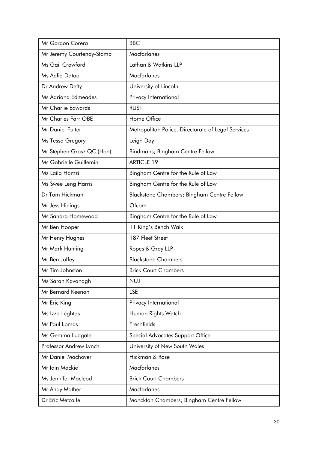| Mr Gordon Corera          | <b>BBC</b>                                         |
|---------------------------|----------------------------------------------------|
| Mr Jeremy Courtenay-Stamp | Macfarlanes                                        |
| Ms Gail Crawford          | Lathan & Watkins LLP                               |
| Ms Aalia Datoo            | Macfarlanes                                        |
| Dr Andrew Defty           | University of Lincoln                              |
| Ms Adriana Edmeades       | Privacy International                              |
| Mr Charlie Edwards        | <b>RUSI</b>                                        |
| Mr Charles Farr OBE       | Home Office                                        |
| <b>Mr Daniel Futter</b>   | Metropolitan Police, Directorate of Legal Services |
| Ms Tessa Gregory          | Leigh Day                                          |
| Mr Stephen Grosz QC (Hon) | Bindmans; Bingham Centre Fellow                    |
| Ms Gabrielle Guillemin    | <b>ARTICLE 19</b>                                  |
| Ms Laila Hamzi            | Bingham Centre for the Rule of Law                 |
| Ms Swee Leng Harris       | Bingham Centre for the Rule of Law                 |
| Dr Tom Hickman            | Blackstone Chambers; Bingham Centre Fellow         |
| Mr Jess Hinings           | Ofcom                                              |
| Ms Sandra Homewood        | Bingham Centre for the Rule of Law                 |
| Mr Ben Hooper             | 11 King's Bench Walk                               |
| Mr Henry Hughes           | 187 Fleet Street                                   |
| Mr Mark Hunting           | Ropes & Gray LLP                                   |
| Mr Ben Jaffey             | <b>Blackstone Chambers</b>                         |
| Mr Tim Johnston           | <b>Brick Court Chambers</b>                        |
| Ms Sarah Kavanagh         | <b>NUJ</b>                                         |
| Mr Bernard Keenan         | <b>LSE</b>                                         |
| Mr Eric King              | Privacy International                              |
| Ms Izza Leghtas           | Human Rights Watch                                 |
| Mr Paul Lomas             | Freshfields                                        |
| Ms Gemma Ludgate          | Special Advocates Support Office                   |
| Professor Andrew Lynch    | University of New South Wales                      |
| <b>Mr Daniel Machover</b> | Hickman & Rose                                     |
| Mr Iain Mackie            | Macfarlanes                                        |
| Ms Jennifer Macleod       | <b>Brick Court Chambers</b>                        |
| Mr Andy Mather            | Macfarlanes                                        |
| Dr Eric Metcalfe          | Monckton Chambers; Bingham Centre Fellow           |